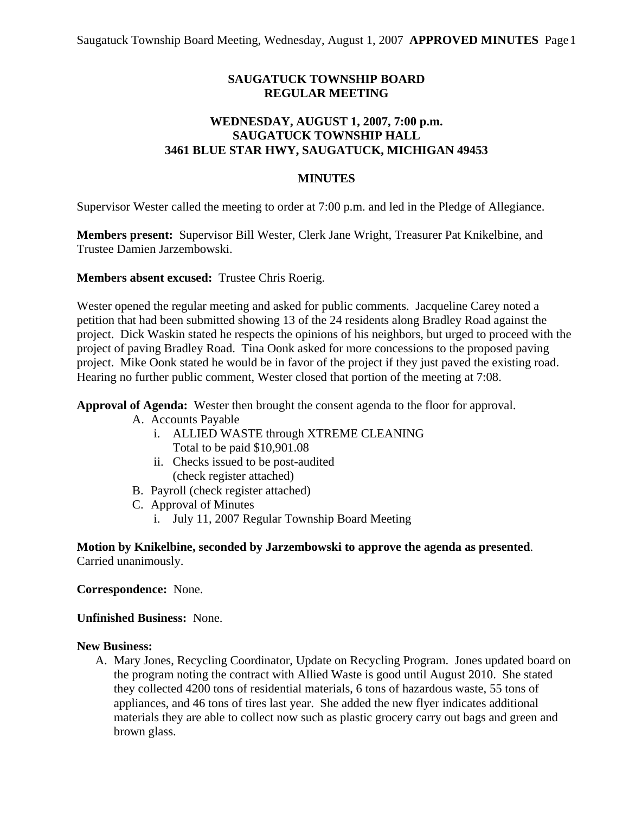## **SAUGATUCK TOWNSHIP BOARD REGULAR MEETING**

## **WEDNESDAY, AUGUST 1, 2007, 7:00 p.m. SAUGATUCK TOWNSHIP HALL 3461 BLUE STAR HWY, SAUGATUCK, MICHIGAN 49453**

### **MINUTES**

Supervisor Wester called the meeting to order at 7:00 p.m. and led in the Pledge of Allegiance.

**Members present:** Supervisor Bill Wester, Clerk Jane Wright, Treasurer Pat Knikelbine, and Trustee Damien Jarzembowski.

#### **Members absent excused:** Trustee Chris Roerig.

Wester opened the regular meeting and asked for public comments. Jacqueline Carey noted a petition that had been submitted showing 13 of the 24 residents along Bradley Road against the project. Dick Waskin stated he respects the opinions of his neighbors, but urged to proceed with the project of paving Bradley Road. Tina Oonk asked for more concessions to the proposed paving project. Mike Oonk stated he would be in favor of the project if they just paved the existing road. Hearing no further public comment, Wester closed that portion of the meeting at 7:08.

**Approval of Agenda:** Wester then brought the consent agenda to the floor for approval.

- A. Accounts Payable
	- i. ALLIED WASTE through XTREME CLEANING Total to be paid \$10,901.08
	- ii. Checks issued to be post-audited (check register attached)
- B. Payroll (check register attached)
- C. Approval of Minutes
	- i. July 11, 2007 Regular Township Board Meeting

**Motion by Knikelbine, seconded by Jarzembowski to approve the agenda as presented**. Carried unanimously.

**Correspondence:** None.

#### **Unfinished Business:** None.

#### **New Business:**

A. Mary Jones, Recycling Coordinator, Update on Recycling Program. Jones updated board on the program noting the contract with Allied Waste is good until August 2010. She stated they collected 4200 tons of residential materials, 6 tons of hazardous waste, 55 tons of appliances, and 46 tons of tires last year. She added the new flyer indicates additional materials they are able to collect now such as plastic grocery carry out bags and green and brown glass.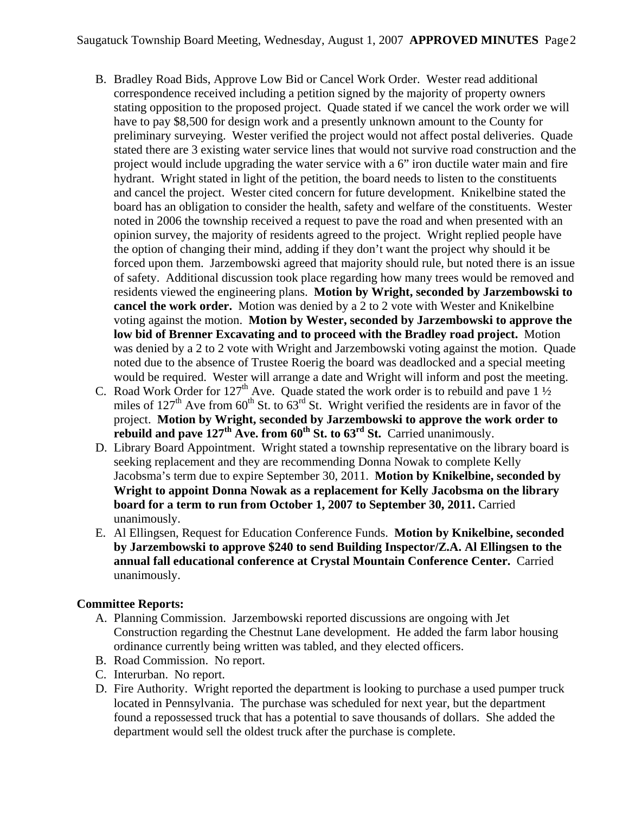- B. Bradley Road Bids, Approve Low Bid or Cancel Work Order. Wester read additional correspondence received including a petition signed by the majority of property owners stating opposition to the proposed project. Quade stated if we cancel the work order we will have to pay \$8,500 for design work and a presently unknown amount to the County for preliminary surveying. Wester verified the project would not affect postal deliveries. Quade stated there are 3 existing water service lines that would not survive road construction and the project would include upgrading the water service with a 6" iron ductile water main and fire hydrant. Wright stated in light of the petition, the board needs to listen to the constituents and cancel the project. Wester cited concern for future development. Knikelbine stated the board has an obligation to consider the health, safety and welfare of the constituents. Wester noted in 2006 the township received a request to pave the road and when presented with an opinion survey, the majority of residents agreed to the project. Wright replied people have the option of changing their mind, adding if they don't want the project why should it be forced upon them. Jarzembowski agreed that majority should rule, but noted there is an issue of safety. Additional discussion took place regarding how many trees would be removed and residents viewed the engineering plans. **Motion by Wright, seconded by Jarzembowski to cancel the work order.** Motion was denied by a 2 to 2 vote with Wester and Knikelbine voting against the motion. **Motion by Wester, seconded by Jarzembowski to approve the low bid of Brenner Excavating and to proceed with the Bradley road project.** Motion was denied by a 2 to 2 vote with Wright and Jarzembowski voting against the motion. Quade noted due to the absence of Trustee Roerig the board was deadlocked and a special meeting would be required. Wester will arrange a date and Wright will inform and post the meeting.
- C. Road Work Order for  $127<sup>th</sup>$  Ave. Quade stated the work order is to rebuild and pave  $1\frac{1}{2}$ miles of  $127<sup>th</sup>$  Ave from 60<sup>th</sup> St. to 63<sup>rd</sup> St. Wright verified the residents are in favor of the project. **Motion by Wright, seconded by Jarzembowski to approve the work order to**  rebuild and pave 127<sup>th</sup> Ave. from 60<sup>th</sup> St. to 63<sup>rd</sup> St. Carried unanimously.
- D. Library Board Appointment. Wright stated a township representative on the library board is seeking replacement and they are recommending Donna Nowak to complete Kelly Jacobsma's term due to expire September 30, 2011. **Motion by Knikelbine, seconded by Wright to appoint Donna Nowak as a replacement for Kelly Jacobsma on the library board for a term to run from October 1, 2007 to September 30, 2011.** Carried unanimously.
- E. Al Ellingsen, Request for Education Conference Funds. **Motion by Knikelbine, seconded by Jarzembowski to approve \$240 to send Building Inspector/Z.A. Al Ellingsen to the annual fall educational conference at Crystal Mountain Conference Center.** Carried unanimously.

# **Committee Reports:**

- A. Planning Commission. Jarzembowski reported discussions are ongoing with Jet Construction regarding the Chestnut Lane development. He added the farm labor housing ordinance currently being written was tabled, and they elected officers.
- B. Road Commission. No report.
- C. Interurban. No report.
- D. Fire Authority. Wright reported the department is looking to purchase a used pumper truck located in Pennsylvania. The purchase was scheduled for next year, but the department found a repossessed truck that has a potential to save thousands of dollars. She added the department would sell the oldest truck after the purchase is complete.